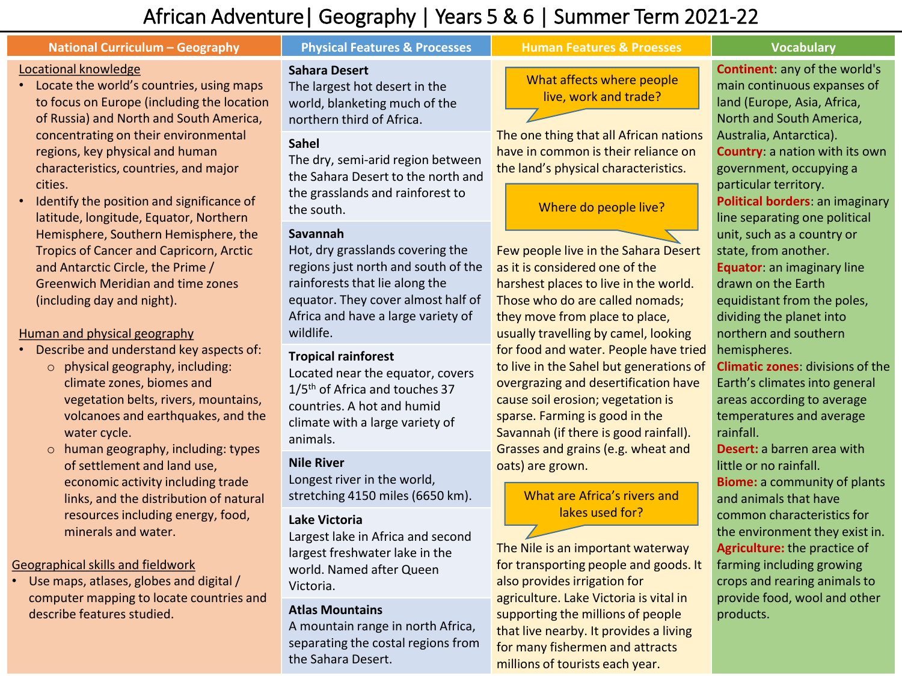# African Adventure| Geography | Years 5 & 6 | Summer Term 2021-22

#### **National Curriculum – Geography Repriet Construct Additional Features & Promos Burgers & Proesses Property Constructed Burgers and Additional Curriculum – Geography** Locational knowledge • Locate the world's countries, using maps to focus on Europe (including the location of Russia) and North and South America, concentrating on their environmental regions, key physical and human characteristics, countries, and major cities. • Identify the position and significance of latitude, longitude, Equator, Northern Hemisphere, Southern Hemisphere, the Tropics of Cancer and Capricorn, Arctic and Antarctic Circle, the Prime / Greenwich Meridian and time zones (including day and night). **Sahara Desert** The largest hot desert in the world, blanketing much of the northern third of Africa. The one thing that all African nations have in common is their reliance on the land's physical characteristics. Few people live in the Sahara Desert as it is considered one of the harshest places to live in the world. **Continent**: any of the world's Australia, Antarctica). government, occupying a particular territory. unit, such as a country or state, from another. drawn on the Earth **Sahel** The dry, semi-arid region between the Sahara Desert to the north and the grasslands and rainforest to the south. **Savannah** Hot, dry grasslands covering the regions just north and south of the rainforests that lie along the What affects where people live, work and trade? Where do people live?

#### Human and physical geography

- Describe and understand key aspects of:
	- o physical geography, including: climate zones, biomes and vegetation belts, rivers, mountains, volcanoes and earthquakes, and the water cycle.
	- o human geography, including: types of settlement and land use, economic activity including trade links, and the distribution of natural resources including energy, food, minerals and water.

### Geographical skills and fieldwork

• Use maps, atlases, globes and digital / computer mapping to locate countries and describe features studied.

equator. They cover almost half of Africa and have a large variety of wildlife.

### **Tropical rainforest**

Located near the equator, covers 1/5<sup>th</sup> of Africa and touches 37 countries. A hot and humid climate with a large variety of animals.

### **Nile River**

Longest river in the world, stretching 4150 miles (6650 km).

# **Lake Victoria**

Largest lake in Africa and second largest freshwater lake in the world. Named after Queen Victoria.

# **Atlas Mountains**

A mountain range in north Africa, separating the costal regions from the Sahara Desert.

Those who do are called nomads; they move from place to place, usually travelling by camel, looking for food and water. People have tried to live in the Sahel but generations of overgrazing and desertification have cause soil erosion; vegetation is sparse. Farming is good in the Savannah (if there is good rainfall). Grasses and grains (e.g. wheat and oats) are grown.

# What are Africa's rivers and lakes used for?

The Nile is an important waterway for transporting people and goods. It also provides irrigation for agriculture. Lake Victoria is vital in supporting the millions of people that live nearby. It provides a living for many fishermen and attracts millions of tourists each year.

main continuous expanses of land (Europe, Asia, Africa, North and South America, **Country**: a nation with its own **Political borders**: an imaginary line separating one political **Equator**: an imaginary line equidistant from the poles, dividing the planet into northern and southern hemispheres.

**Climatic zones**: divisions of the Earth's climates into general areas according to average temperatures and average rainfall.

**Desert:** a barren area with little or no rainfall. **Biome:** a community of plants and animals that have common characteristics for the environment they exist in. **Agriculture:** the practice of farming including growing crops and rearing animals to provide food, wool and other products.